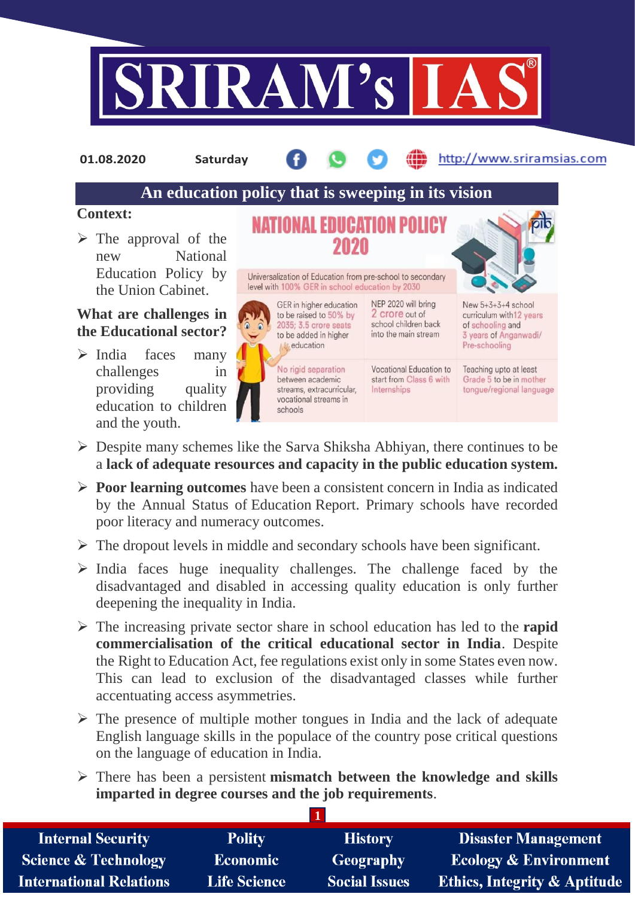

**01.08.2020 Saturday**

## http://www.sriramsias.com

# **An education policy that is sweeping in its vision**

### **Context:**

 $\triangleright$  The approval of the new National Education Policy by the Union Cabinet.

# **What are challenges in the Educational sector?**

 $\triangleright$  India faces many challenges in providing quality education to children and the youth.



to be raised to 50% by 2035; 3.5 crore seats to be added in higher **A** education

Universalization of Education from pre-school to secondary level with 100% GER in school education by 2030

> No rigid separation between academic streams, extracurricular. vocational streams in schools

NEP 2020 will bring 2 crore out of school children back into the main stream

Vocational Education to start from Class 6 with Internships

New 5+3+3+4 school curriculum with 12 years of schooling and 3 years of Anganwadi/ Pre-schooling

Teaching upto at least Grade 5 to be in mother tongue/regional language

- $\triangleright$  Despite many schemes like the Sarva Shiksha Abhiyan, there continues to be a **lack of adequate resources and capacity in the public education system.**
- **Poor learning outcomes** have been a consistent concern in India as indicated by the Annual Status of Education Report. Primary schools have recorded poor literacy and numeracy outcomes.
- $\triangleright$  The dropout levels in middle and secondary schools have been significant.
- $\triangleright$  India faces huge inequality challenges. The challenge faced by the disadvantaged and disabled in accessing quality education is only further deepening the inequality in India.
- The increasing private sector share in school education has led to the **rapid commercialisation of the critical educational sector in India**. Despite the Right to Education Act, fee regulations exist only in some States even now. This can lead to exclusion of the disadvantaged classes while further accentuating access asymmetries.
- $\triangleright$  The presence of multiple mother tongues in India and the lack of adequate English language skills in the populace of the country pose critical questions on the language of education in India.
- There has been a persistent **mismatch between the knowledge and skills imparted in degree courses and the job requirements**.

| <b>Internal Security</b>        | <b>Polity</b>       | <b>History</b>       | <b>Disaster Management</b>              |
|---------------------------------|---------------------|----------------------|-----------------------------------------|
| <b>Science &amp; Technology</b> | <b>Economic</b>     | Geography            | <b>Ecology &amp; Environment</b>        |
| <b>International Relations</b>  | <b>Life Science</b> | <b>Social Issues</b> | <b>Ethics, Integrity &amp; Aptitude</b> |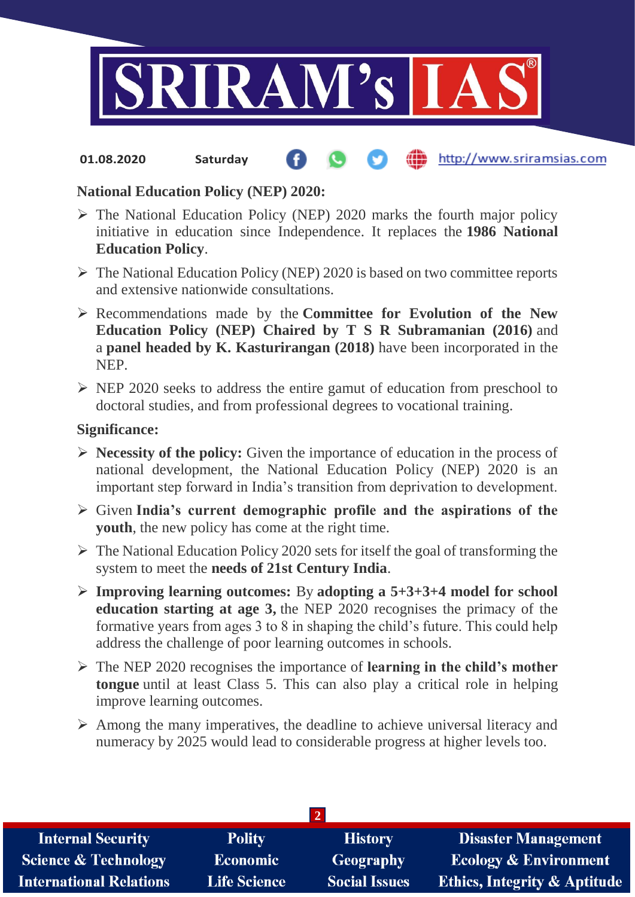

#### **fin** http://www.sriramsias.com **01.08.2020 Saturday**

# **National Education Policy (NEP) 2020:**

- $\triangleright$  The National Education Policy (NEP) 2020 marks the fourth major policy initiative in education since Independence. It replaces the **1986 National Education Policy**.
- $\triangleright$  The National Education Policy (NEP) 2020 is based on two committee reports and extensive nationwide consultations.
- Recommendations made by the **Committee for Evolution of the New Education Policy (NEP) Chaired by T S R Subramanian (2016)** and a **panel headed by K. Kasturirangan (2018)** have been incorporated in the NEP.
- $\triangleright$  NEP 2020 seeks to address the entire gamut of education from preschool to doctoral studies, and from professional degrees to vocational training.

### **Significance:**

- **Necessity of the policy:** Given the importance of education in the process of national development, the National Education Policy (NEP) 2020 is an important step forward in India's transition from deprivation to development.
- Given **India's current demographic profile and the aspirations of the youth**, the new policy has come at the right time.
- $\triangleright$  The National Education Policy 2020 sets for itself the goal of transforming the system to meet the **needs of 21st Century India**.
- **Improving learning outcomes:** By **adopting a 5+3+3+4 model for school education starting at age 3,** the NEP 2020 recognises the primacy of the formative years from ages 3 to 8 in shaping the child's future. This could help address the challenge of poor learning outcomes in schools.
- The NEP 2020 recognises the importance of **learning in the child's mother tongue** until at least Class 5. This can also play a critical role in helping improve learning outcomes.
- $\triangleright$  Among the many imperatives, the deadline to achieve universal literacy and numeracy by 2025 would lead to considerable progress at higher levels too.

| <b>Internal Security</b>        | <b>Polity</b>       | <b>History</b>       | <b>Disaster Management</b>              |
|---------------------------------|---------------------|----------------------|-----------------------------------------|
| <b>Science &amp; Technology</b> | <b>Economic</b>     | Geography            | <b>Ecology &amp; Environment</b>        |
| <b>International Relations</b>  | <b>Life Science</b> | <b>Social Issues</b> | <b>Ethics, Integrity &amp; Aptitude</b> |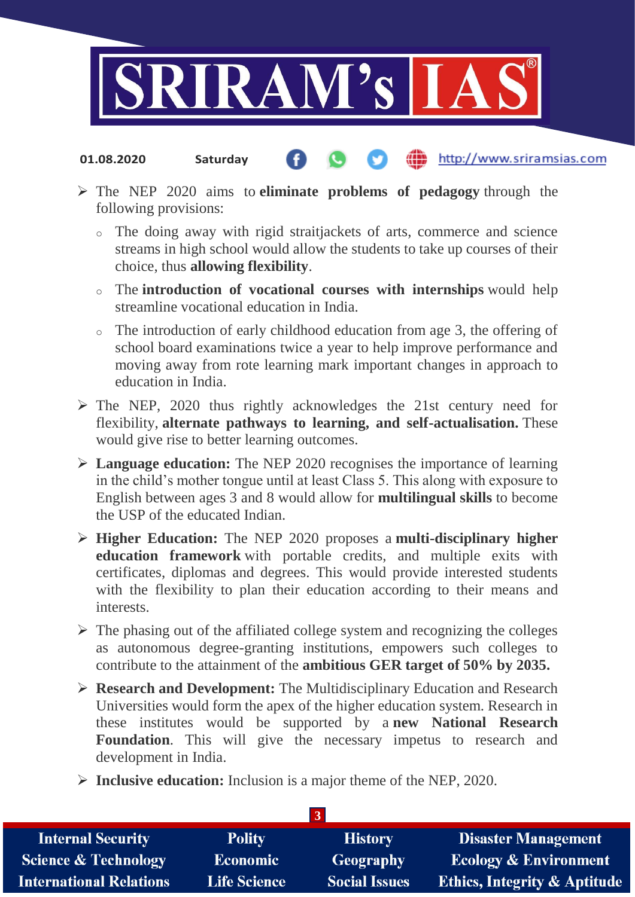

#### http://www.sriramsias.com **01.08.2020 Saturday**

- The NEP 2020 aims to **eliminate problems of pedagogy** through the following provisions:
	- o The doing away with rigid straitjackets of arts, commerce and science streams in high school would allow the students to take up courses of their choice, thus **allowing flexibility**.
	- o The **introduction of vocational courses with internships** would help streamline vocational education in India.
	- o The introduction of early childhood education from age 3, the offering of school board examinations twice a year to help improve performance and moving away from rote learning mark important changes in approach to education in India.
- $\triangleright$  The NEP, 2020 thus rightly acknowledges the 21st century need for flexibility, **alternate pathways to learning, and self-actualisation.** These would give rise to better learning outcomes.
- **Language education:** The NEP 2020 recognises the importance of learning in the child's mother tongue until at least Class 5. This along with exposure to English between ages 3 and 8 would allow for **multilingual skills** to become the USP of the educated Indian.
- **Higher Education:** The NEP 2020 proposes a **multi-disciplinary higher education framework** with portable credits, and multiple exits with certificates, diplomas and degrees. This would provide interested students with the flexibility to plan their education according to their means and interests.
- $\triangleright$  The phasing out of the affiliated college system and recognizing the colleges as autonomous degree-granting institutions, empowers such colleges to contribute to the attainment of the **ambitious GER target of 50% by 2035.**
- **Research and Development:** The Multidisciplinary Education and Research Universities would form the apex of the higher education system. Research in these institutes would be supported by a **new National Research Foundation**. This will give the necessary impetus to research and development in India.
- **Inclusive education:** Inclusion is a major theme of the NEP, 2020.

| <b>Internal Security</b>        | <b>Polity</b>       | <b>History</b>       | <b>Disaster Management</b>              |
|---------------------------------|---------------------|----------------------|-----------------------------------------|
| <b>Science &amp; Technology</b> | <b>Economic</b>     | Geography            | <b>Ecology &amp; Environment</b>        |
| <b>International Relations</b>  | <b>Life Science</b> | <b>Social Issues</b> | <b>Ethics, Integrity &amp; Aptitude</b> |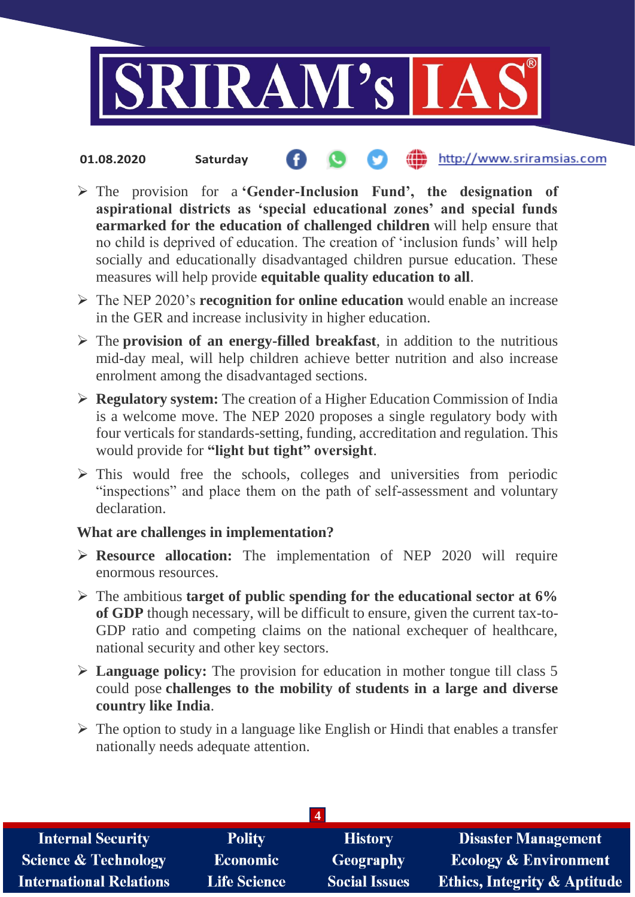

### the http://www.sriramsias.com **01.08.2020 Saturday**

- The provision for a **'Gender-Inclusion Fund', the designation of aspirational districts as 'special educational zones' and special funds earmarked for the education of challenged children** will help ensure that no child is deprived of education. The creation of 'inclusion funds' will help socially and educationally disadvantaged children pursue education. These measures will help provide **equitable quality education to all**.
- The NEP 2020's **recognition for online education** would enable an increase in the GER and increase inclusivity in higher education.
- The **provision of an energy-filled breakfast**, in addition to the nutritious mid-day meal, will help children achieve better nutrition and also increase enrolment among the disadvantaged sections.
- **Regulatory system:** The creation of a Higher Education Commission of India is a welcome move. The NEP 2020 proposes a single regulatory body with four verticals for standards-setting, funding, accreditation and regulation. This would provide for **"light but tight" oversight**.
- $\triangleright$  This would free the schools, colleges and universities from periodic "inspections" and place them on the path of self-assessment and voluntary declaration.

## **What are challenges in implementation?**

- **Resource allocation:** The implementation of NEP 2020 will require enormous resources.
- The ambitious **target of public spending for the educational sector at 6% of GDP** though necessary, will be difficult to ensure, given the current tax-to-GDP ratio and competing claims on the national exchequer of healthcare, national security and other key sectors.
- **Language policy:** The provision for education in mother tongue till class 5 could pose **challenges to the mobility of students in a large and diverse country like India**.
- $\triangleright$  The option to study in a language like English or Hindi that enables a transfer nationally needs adequate attention.

| $\overline{4}$                  |                     |                      |                                         |
|---------------------------------|---------------------|----------------------|-----------------------------------------|
| <b>Internal Security</b>        | <b>Polity</b>       | <b>History</b>       | <b>Disaster Management</b>              |
| <b>Science &amp; Technology</b> | <b>Economic</b>     | Geography            | <b>Ecology &amp; Environment</b>        |
| <b>International Relations</b>  | <b>Life Science</b> | <b>Social Issues</b> | <b>Ethics, Integrity &amp; Aptitude</b> |